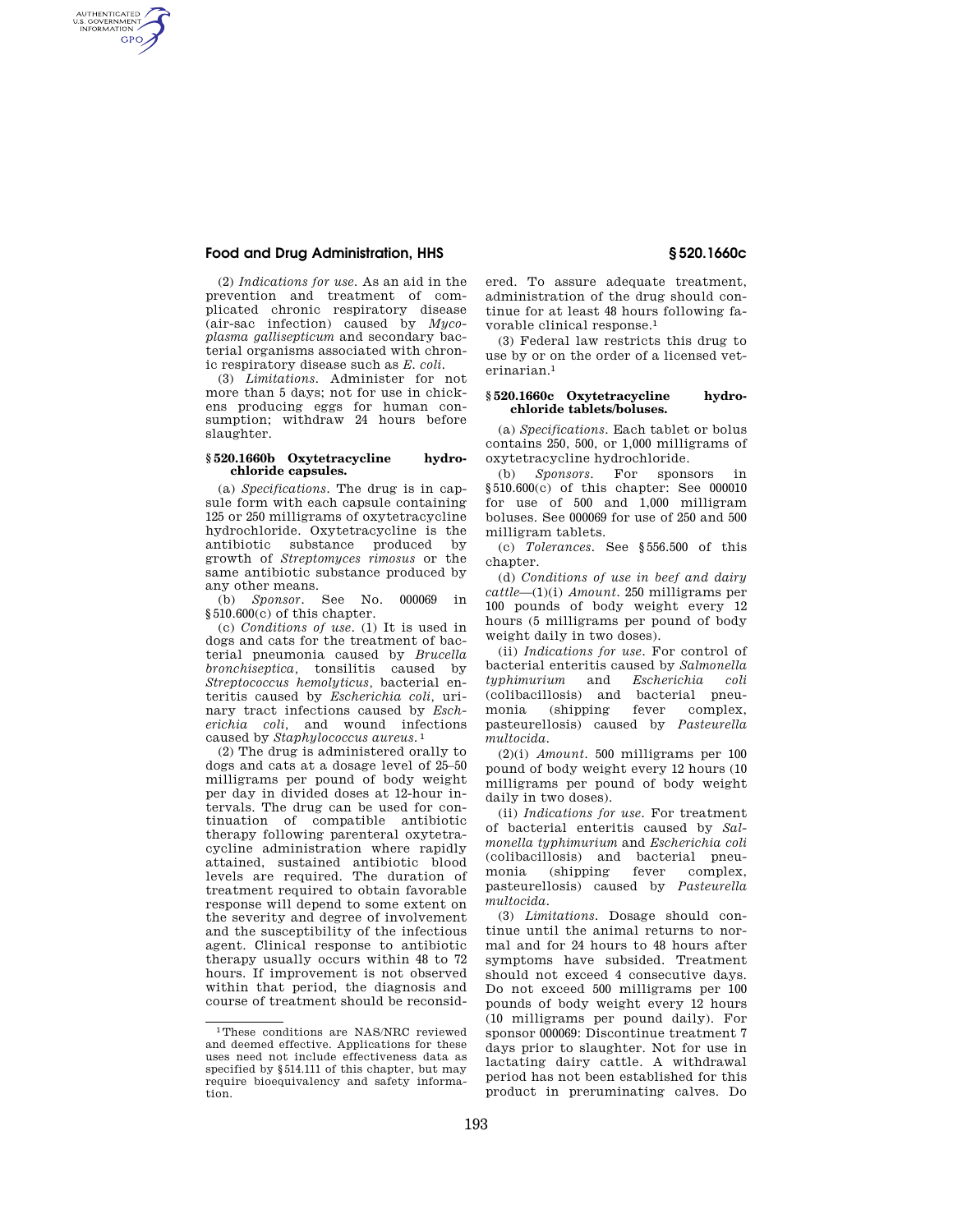# **Food and Drug Administration, HHS § 520.1660c**

AUTHENTICATED<br>U.S. GOVERNMENT<br>INFORMATION **GPO** 

> (2) *Indications for use.* As an aid in the prevention and treatment of complicated chronic respiratory disease (air-sac infection) caused by *Mycoplasma gallisepticum* and secondary bacterial organisms associated with chronic respiratory disease such as *E. coli.*

> (3) *Limitations.* Administer for not more than 5 days; not for use in chickens producing eggs for human consumption; withdraw 24 hours before slaughter.

#### **§ 520.1660b Oxytetracycline hydrochloride capsules.**

(a) *Specifications.* The drug is in capsule form with each capsule containing 125 or 250 milligrams of oxytetracycline hydrochloride. Oxytetracycline is the antibiotic substance produced by growth of *Streptomyces rimosus* or the same antibiotic substance produced by any other means.

(b) *Sponsor.* See No. 000069 in §510.600(c) of this chapter.

(c) *Conditions of use.* (1) It is used in dogs and cats for the treatment of bacterial pneumonia caused by *Brucella bronchiseptica,* tonsilitis caused by *Streptococcus hemolyticus,* bacterial enteritis caused by *Escherichia coli,* urinary tract infections caused by *Escherichia coli,* and wound infections caused by *Staphylococcus aureus.* 1

(2) The drug is administered orally to dogs and cats at a dosage level of 25–50 milligrams per pound of body weight per day in divided doses at 12-hour intervals. The drug can be used for continuation of compatible antibiotic therapy following parenteral oxytetracycline administration where rapidly attained, sustained antibiotic blood levels are required. The duration of treatment required to obtain favorable response will depend to some extent on the severity and degree of involvement and the susceptibility of the infectious agent. Clinical response to antibiotic therapy usually occurs within 48 to 72 hours. If improvement is not observed within that period, the diagnosis and course of treatment should be reconsid-

ered. To assure adequate treatment, administration of the drug should continue for at least 48 hours following favorable clinical response.1

(3) Federal law restricts this drug to use by or on the order of a licensed veterinarian.1

### **§ 520.1660c Oxytetracycline hydrochloride tablets/boluses.**

(a) *Specifications*. Each tablet or bolus contains 250, 500, or 1,000 milligrams of oxytetracycline hydrochloride.

(b) *Sponsors*. For sponsors in §510.600(c) of this chapter: See 000010 for use of 500 and 1,000 milligram boluses. See 000069 for use of 250 and 500 milligram tablets.

(c) *Tolerances.* See §556.500 of this chapter.

(d) *Conditions of use in beef and dairy cattle*—(1)(i) *Amount.* 250 milligrams per 100 pounds of body weight every 12 hours (5 milligrams per pound of body weight daily in two doses).

(ii) *Indications for use.* For control of bacterial enteritis caused by *Salmonella typhimurium* and *Escherichia coli*  (colibacillosis) and bacterial pneumonia (shipping fever complex, pasteurellosis) caused by *Pasteurella multocida.* 

(2)(i) *Amount.* 500 milligrams per 100 pound of body weight every 12 hours (10 milligrams per pound of body weight daily in two doses).

(ii) *Indications for use.* For treatment of bacterial enteritis caused by *Salmonella typhimurium* and *Escherichia coli*  (colibacillosis) and bacterial pneumonia (shipping fever complex, pasteurellosis) caused by *Pasteurella multocida.* 

(3) *Limitations.* Dosage should continue until the animal returns to normal and for 24 hours to 48 hours after symptoms have subsided. Treatment should not exceed 4 consecutive days. Do not exceed 500 milligrams per 100 pounds of body weight every 12 hours (10 milligrams per pound daily). For sponsor 000069: Discontinue treatment 7 days prior to slaughter. Not for use in lactating dairy cattle. A withdrawal period has not been established for this product in preruminating calves. Do

<sup>1</sup>These conditions are NAS/NRC reviewed and deemed effective. Applications for these uses need not include effectiveness data as specified by §514.111 of this chapter, but may require bioequivalency and safety information.